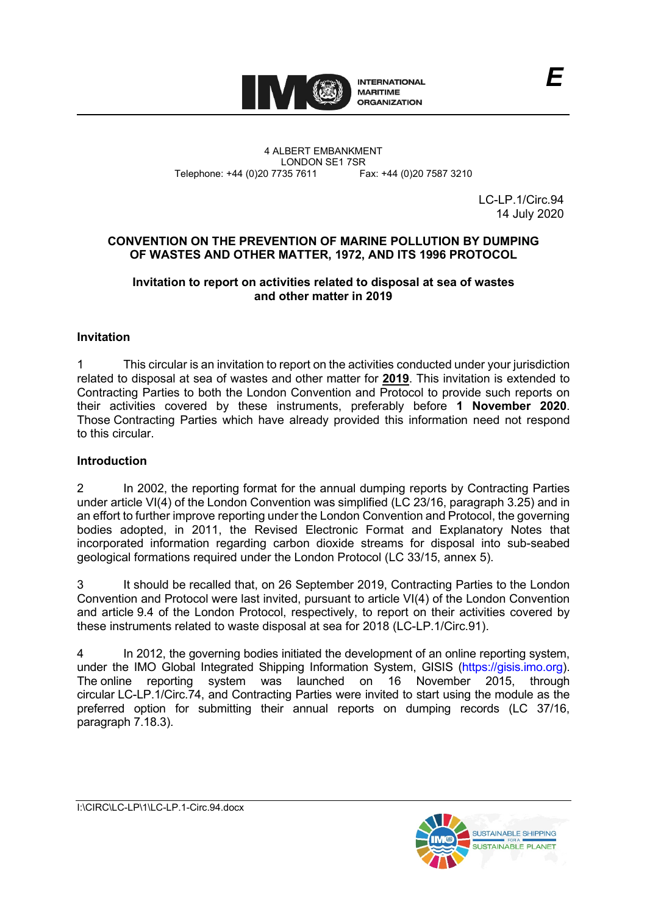

4 ALBERT EMBANKMENT Telephone: +44 (0)20 7735 7611

LONDON SE1 7SR<br>735 7611 Fax: +44 (0)20 7587 3210

LC-LP.1/Circ.94 14 July 2020

## **CONVENTION ON THE PREVENTION OF MARINE POLLUTION BY DUMPING OF WASTES AND OTHER MATTER, 1972, AND ITS 1996 PROTOCOL**

#### **Invitation to report on activities related to disposal at sea of wastes and other matter in 2019**

# **Invitation**

1 This circular is an invitation to report on the activities conducted under your jurisdiction related to disposal at sea of wastes and other matter for **2019**. This invitation is extended to Contracting Parties to both the London Convention and Protocol to provide such reports on their activities covered by these instruments, preferably before **1 November 2020**. Those Contracting Parties which have already provided this information need not respond to this circular.

## **Introduction**

2 In 2002, the reporting format for the annual dumping reports by Contracting Parties under article VI(4) of the London Convention was simplified (LC 23/16, paragraph 3.25) and in an effort to further improve reporting under the London Convention and Protocol, the governing bodies adopted, in 2011, the Revised Electronic Format and Explanatory Notes that incorporated information regarding carbon dioxide streams for disposal into sub-seabed geological formations required under the London Protocol (LC 33/15, annex 5).

3 It should be recalled that, on 26 September 2019, Contracting Parties to the London Convention and Protocol were last invited, pursuant to article VI(4) of the London Convention and article 9.4 of the London Protocol, respectively, to report on their activities covered by these instruments related to waste disposal at sea for 2018 (LC-LP.1/Circ.91).

4 In 2012, the governing bodies initiated the development of an online reporting system, under the IMO Global Integrated Shipping Information System, GISIS [\(https://gisis.imo.org\)](https://gisis.imo.org/). The online reporting system was launched on 16 November 2015, through circular LC-LP.1/Circ.74, and Contracting Parties were invited to start using the module as the preferred option for submitting their annual reports on dumping records (LC 37/16, paragraph 7.18.3).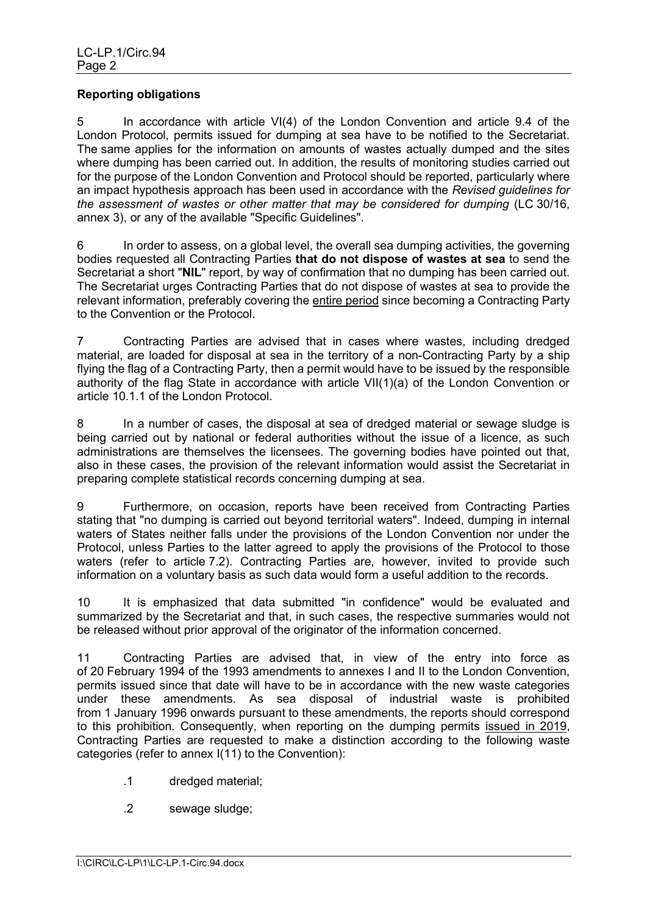## **Reporting obligations**

5 In accordance with article VI(4) of the London Convention and article 9.4 of the London Protocol, permits issued for dumping at sea have to be notified to the Secretariat. The same applies for the information on amounts of wastes actually dumped and the sites where dumping has been carried out. In addition, the results of monitoring studies carried out for the purpose of the London Convention and Protocol should be reported, particularly where an impact hypothesis approach has been used in accordance with the *Revised guidelines for the assessment of wastes or other matter that may be considered for dumping* (LC 30/16, annex 3), or any of the available "Specific Guidelines".

6 In order to assess, on a global level, the overall sea dumping activities, the governing bodies requested all Contracting Parties **that do not dispose of wastes at sea** to send the Secretariat a short "**NIL**" report, by way of confirmation that no dumping has been carried out. The Secretariat urges Contracting Parties that do not dispose of wastes at sea to provide the relevant information, preferably covering the entire period since becoming a Contracting Party to the Convention or the Protocol.

7 Contracting Parties are advised that in cases where wastes, including dredged material, are loaded for disposal at sea in the territory of a non-Contracting Party by a ship flying the flag of a Contracting Party, then a permit would have to be issued by the responsible authority of the flag State in accordance with article VII(1)(a) of the London Convention or article 10.1.1 of the London Protocol.

8 In a number of cases, the disposal at sea of dredged material or sewage sludge is being carried out by national or federal authorities without the issue of a licence, as such administrations are themselves the licensees. The governing bodies have pointed out that, also in these cases, the provision of the relevant information would assist the Secretariat in preparing complete statistical records concerning dumping at sea.

9 Furthermore, on occasion, reports have been received from Contracting Parties stating that "no dumping is carried out beyond territorial waters". Indeed, dumping in internal waters of States neither falls under the provisions of the London Convention nor under the Protocol, unless Parties to the latter agreed to apply the provisions of the Protocol to those waters (refer to article 7.2). Contracting Parties are, however, invited to provide such information on a voluntary basis as such data would form a useful addition to the records.

10 It is emphasized that data submitted "in confidence" would be evaluated and summarized by the Secretariat and that, in such cases, the respective summaries would not be released without prior approval of the originator of the information concerned.

11 Contracting Parties are advised that, in view of the entry into force as of 20 February 1994 of the 1993 amendments to annexes I and II to the London Convention, permits issued since that date will have to be in accordance with the new waste categories under these amendments. As sea disposal of industrial waste is prohibited from 1 January 1996 onwards pursuant to these amendments, the reports should correspond to this prohibition. Consequently, when reporting on the dumping permits issued in 2019, Contracting Parties are requested to make a distinction according to the following waste categories (refer to annex I(11) to the Convention):

- .1 dredged material;
- .2 sewage sludge;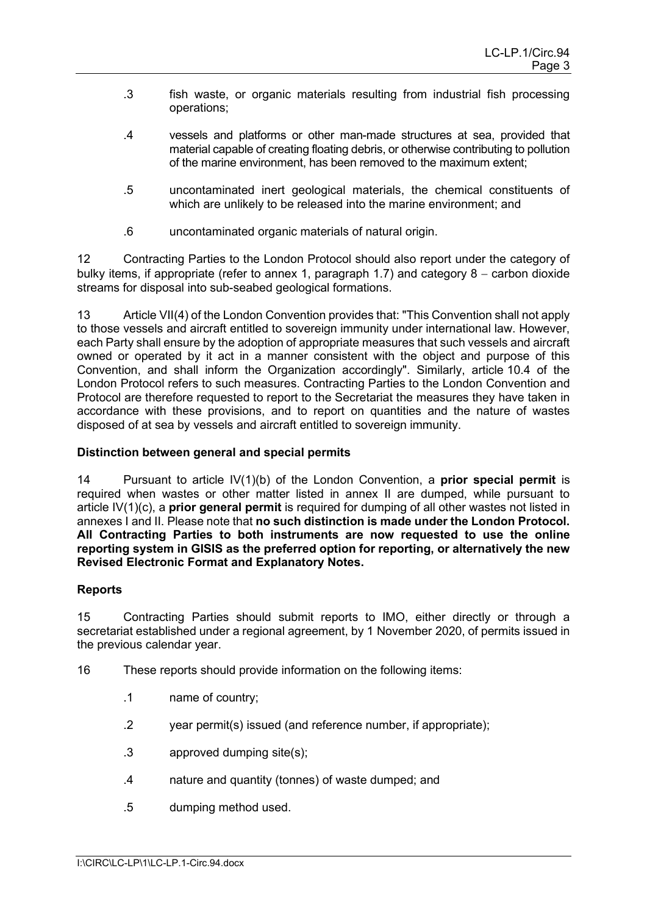- .3 fish waste, or organic materials resulting from industrial fish processing operations;
- .4 vessels and platforms or other man-made structures at sea, provided that material capable of creating floating debris, or otherwise contributing to pollution of the marine environment, has been removed to the maximum extent;
- .5 uncontaminated inert geological materials, the chemical constituents of which are unlikely to be released into the marine environment; and
- .6 uncontaminated organic materials of natural origin.

12 Contracting Parties to the London Protocol should also report under the category of bulky items, if appropriate (refer to annex 1, paragraph 1.7) and category 8 – carbon dioxide streams for disposal into sub-seabed geological formations.

13 Article VII(4) of the London Convention provides that: "This Convention shall not apply to those vessels and aircraft entitled to sovereign immunity under international law. However, each Party shall ensure by the adoption of appropriate measures that such vessels and aircraft owned or operated by it act in a manner consistent with the object and purpose of this Convention, and shall inform the Organization accordingly". Similarly, article 10.4 of the London Protocol refers to such measures. Contracting Parties to the London Convention and Protocol are therefore requested to report to the Secretariat the measures they have taken in accordance with these provisions, and to report on quantities and the nature of wastes disposed of at sea by vessels and aircraft entitled to sovereign immunity.

## **Distinction between general and special permits**

14 Pursuant to article IV(1)(b) of the London Convention, a **prior special permit** is required when wastes or other matter listed in annex II are dumped, while pursuant to article IV(1)(c), a **prior general permit** is required for dumping of all other wastes not listed in annexes I and II. Please note that **no such distinction is made under the London Protocol. All Contracting Parties to both instruments are now requested to use the online reporting system in GISIS as the preferred option for reporting, or alternatively the new Revised Electronic Format and Explanatory Notes.**

## **Reports**

15 Contracting Parties should submit reports to IMO, either directly or through a secretariat established under a regional agreement, by 1 November 2020, of permits issued in the previous calendar year.

- 16 These reports should provide information on the following items:
	- .1 name of country;
	- .2 year permit(s) issued (and reference number, if appropriate);
	- .3 approved dumping site(s);
	- .4 nature and quantity (tonnes) of waste dumped; and
	- .5 dumping method used.